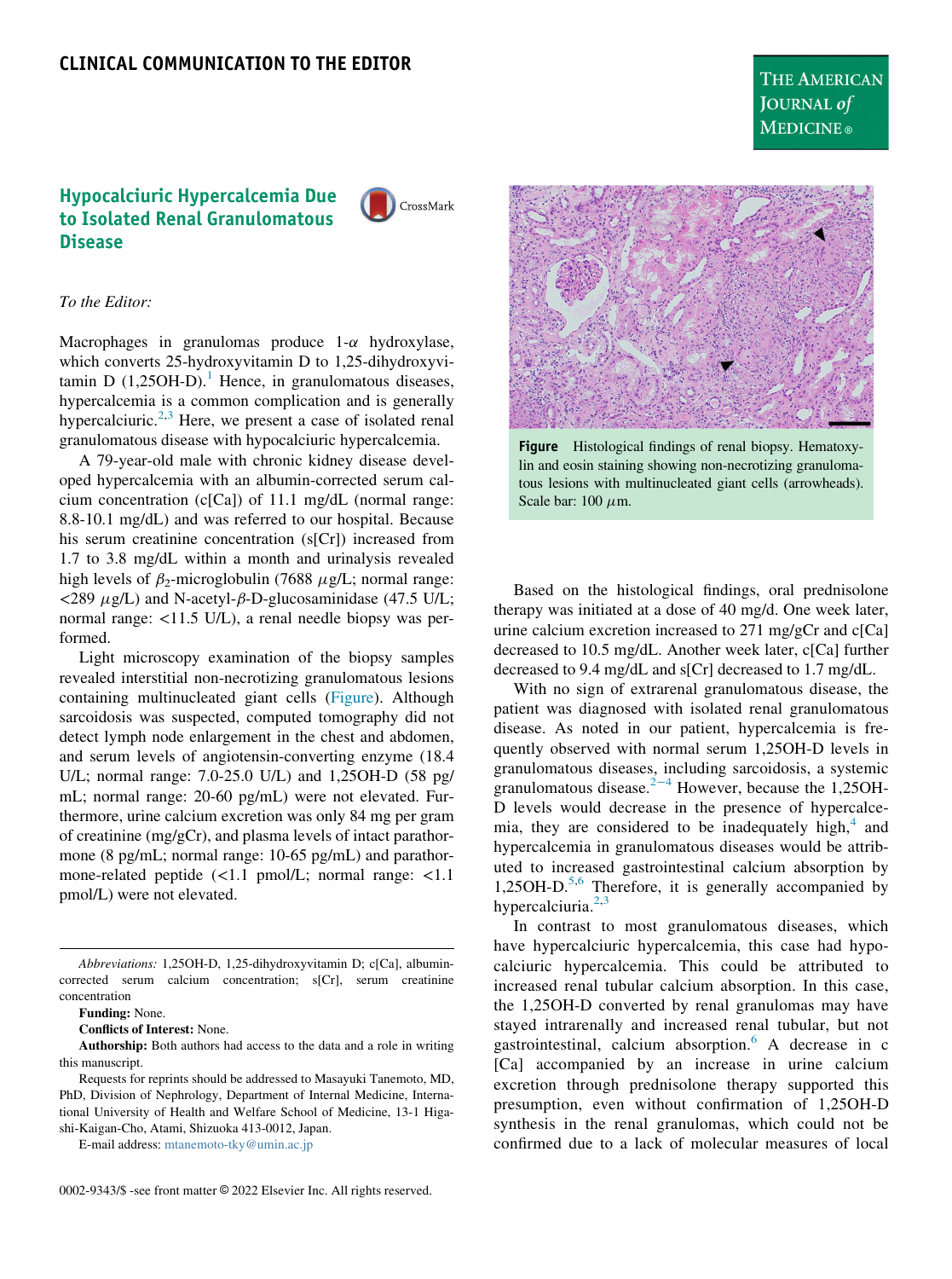## <span id="page-0-0"></span>Hypocalciuric Hypercalcemia Due to Isolated Renal Granulomatous Disease

CrossMark

## To the Editor:

Macrophages in granulomas produce  $1-\alpha$  hydroxylase, which converts 25-hydroxyvitamin D to 1,25-dihydroxyvitamin D  $(1,25OH-D)$  $(1,25OH-D)$  $(1,25OH-D)$ .<sup>1</sup> Hence, in granulomatous diseases, hypercalcemia is a common complication and is generally hypercalciuric.<sup>[2](#page-1-1)[,3](#page-1-2)</sup> Here, we present a case of isolated renal granulomatous disease with hypocalciuric hypercalcemia.

A 79-year-old male with chronic kidney disease developed hypercalcemia with an albumin-corrected serum calcium concentration (c[Ca]) of 11.1 mg/dL (normal range: 8.8-10.1 mg/dL) and was referred to our hospital. Because his serum creatinine concentration (s[Cr]) increased from 1.7 to 3.8 mg/dL within a month and urinalysis revealed high levels of  $\beta_2$ -microglobulin (7688  $\mu$ g/L; normal range:  $\langle 289 \mu g/L \rangle$  and N-acetyl- $\beta$ -D-glucosaminidase (47.5 U/L; normal range: <11.5 U/L), a renal needle biopsy was performed.

Light microscopy examination of the biopsy samples revealed interstitial non-necrotizing granulomatous lesions containing multinucleated giant cells [\(Figure](#page-0-0)). Although sarcoidosis was suspected, computed tomography did not detect lymph node enlargement in the chest and abdomen, and serum levels of angiotensin-converting enzyme (18.4 U/L; normal range: 7.0-25.0 U/L) and 1,25OH-D (58 pg/ mL; normal range: 20-60 pg/mL) were not elevated. Furthermore, urine calcium excretion was only 84 mg per gram of creatinine (mg/gCr), and plasma levels of intact parathormone (8 pg/mL; normal range: 10-65 pg/mL) and parathormone-related peptide (<1.1 pmol/L; normal range: <1.1 pmol/L) were not elevated.

Conflicts of Interest: None.

Authorship: Both authors had access to the data and a role in writing this manuscript.

Requests for reprints should be addressed to Masayuki Tanemoto, MD, PhD, Division of Nephrology, Department of Internal Medicine, International University of Health and Welfare School of Medicine, 13-1 Higashi-Kaigan-Cho, Atami, Shizuoka 413-0012, Japan.

E-mail address: [mtanemoto-tky@umin.ac.jp](mailto:mtanemoto-tky@umin.ac.jp)



Figure Histological findings of renal biopsy. Hematoxylin and eosin staining showing non-necrotizing granulomatous lesions with multinucleated giant cells (arrowheads). Scale bar:  $100 \mu m$ .

Based on the histological findings, oral prednisolone therapy was initiated at a dose of 40 mg/d. One week later, urine calcium excretion increased to  $271 \text{ mg/gCr}$  and  $c[Ca]$ decreased to 10.5 mg/dL. Another week later, c[Ca] further decreased to 9.4 mg/dL and s[Cr] decreased to 1.7 mg/dL.

With no sign of extrarenal granulomatous disease, the patient was diagnosed with isolated renal granulomatous disease. As noted in our patient, hypercalcemia is frequently observed with normal serum 1,25OH-D levels in granulomatous diseases, including sarcoidosis, a systemic granulomatous disease.<sup>2[−](#page-1-1)4</sup> However, because the 1,25OH-D levels would decrease in the presence of hypercalcemia, they are considered to be inadequately high, $4$  and hypercalcemia in granulomatous diseases would be attributed to increased gastrointestinal calcium absorption by 1,25OH-D. $5,6$  $5,6$  Therefore, it is generally accompanied by hypercalciuria. $2,3$  $2,3$ 

In contrast to most granulomatous diseases, which have hypercalciuric hypercalcemia, this case had hypocalciuric hypercalcemia. This could be attributed to increased renal tubular calcium absorption. In this case, the 1,25OH-D converted by renal granulomas may have stayed intrarenally and increased renal tubular, but not gastrointestinal, calcium absorption. $6 \text{ A}$  $6 \text{ A}$  decrease in c [Ca] accompanied by an increase in urine calcium excretion through prednisolone therapy supported this presumption, even without confirmation of 1,25OH-D synthesis in the renal granulomas, which could not be confirmed due to a lack of molecular measures of local

Abbreviations: 1,25OH-D, 1,25-dihydroxyvitamin D; c[Ca], albumincorrected serum calcium concentration; s[Cr], serum creatinine concentration

Funding: None.